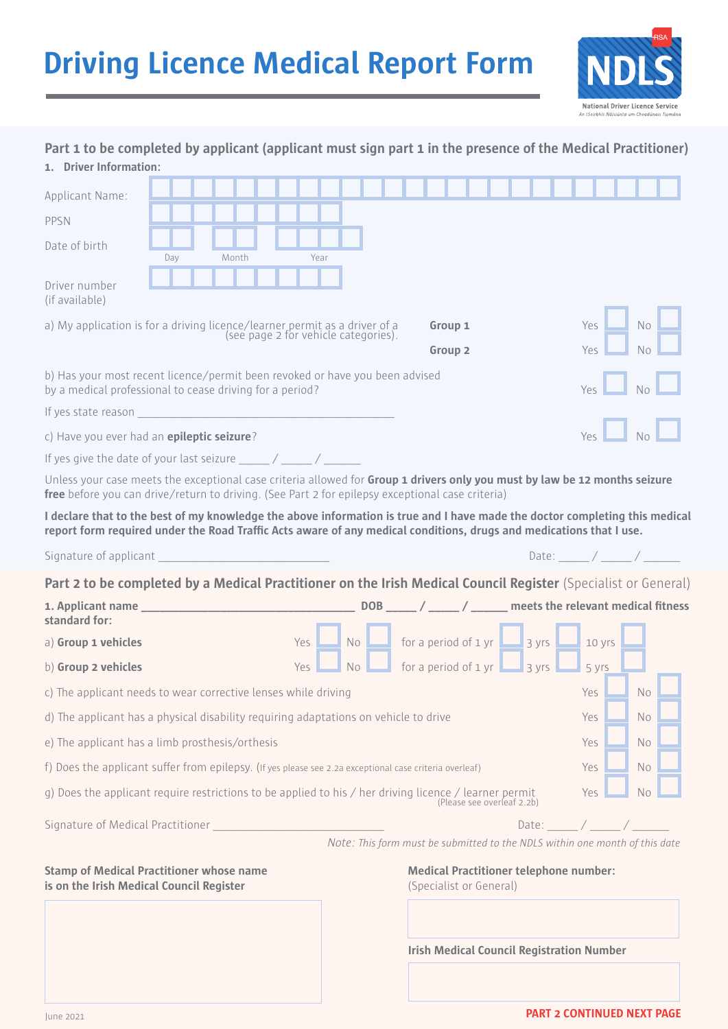# **Driving Licence Medical Report Form**



| 1. Driver Information:                                                                                                                                                                                                                             |                                                   |  |       |  |  |            |      |     |                |                                                                               |  |  |                  |       |  |  |  |
|----------------------------------------------------------------------------------------------------------------------------------------------------------------------------------------------------------------------------------------------------|---------------------------------------------------|--|-------|--|--|------------|------|-----|----------------|-------------------------------------------------------------------------------|--|--|------------------|-------|--|--|--|
| Applicant Name:                                                                                                                                                                                                                                    |                                                   |  |       |  |  |            |      |     |                |                                                                               |  |  |                  |       |  |  |  |
| PPSN                                                                                                                                                                                                                                               |                                                   |  |       |  |  |            |      |     |                |                                                                               |  |  |                  |       |  |  |  |
| Date of birth                                                                                                                                                                                                                                      |                                                   |  |       |  |  |            |      |     |                |                                                                               |  |  |                  |       |  |  |  |
|                                                                                                                                                                                                                                                    | Day                                               |  | Month |  |  |            | Year |     |                |                                                                               |  |  |                  |       |  |  |  |
| Driver number<br>(if available)                                                                                                                                                                                                                    |                                                   |  |       |  |  |            |      |     |                |                                                                               |  |  |                  |       |  |  |  |
| a) My application is for a driving licence/learner permit as a driver of a<br>Group 1<br><b>Yes</b><br><b>No</b><br>(see page 2 for vehicle categories).<br>Group <sub>2</sub><br>Yes.<br>No                                                       |                                                   |  |       |  |  |            |      |     |                |                                                                               |  |  |                  |       |  |  |  |
|                                                                                                                                                                                                                                                    |                                                   |  |       |  |  |            |      |     |                |                                                                               |  |  |                  |       |  |  |  |
| b) Has your most recent licence/permit been revoked or have you been advised<br>by a medical professional to cease driving for a period?                                                                                                           |                                                   |  |       |  |  |            |      |     |                |                                                                               |  |  |                  |       |  |  |  |
| If yes state reason and the state of the state of the state of the state of the state of the state of the state of the state of the state of the state of the state of the state of the state of the state of the state of the                     |                                                   |  |       |  |  |            |      |     |                |                                                                               |  |  |                  |       |  |  |  |
|                                                                                                                                                                                                                                                    | Yes<br>c) Have you ever had an epileptic seizure? |  |       |  |  |            |      |     |                |                                                                               |  |  |                  |       |  |  |  |
| If yes give the date of your last seizure $\frac{1}{2}$ / ______ / ______                                                                                                                                                                          |                                                   |  |       |  |  |            |      |     |                |                                                                               |  |  |                  |       |  |  |  |
| Unless your case meets the exceptional case criteria allowed for Group 1 drivers only you must by law be 12 months seizure<br>free before you can drive/return to driving. (See Part 2 for epilepsy exceptional case criteria)                     |                                                   |  |       |  |  |            |      |     |                |                                                                               |  |  |                  |       |  |  |  |
| I declare that to the best of my knowledge the above information is true and I have made the doctor completing this medical<br>report form required under the Road Traffic Acts aware of any medical conditions, drugs and medications that I use. |                                                   |  |       |  |  |            |      |     |                |                                                                               |  |  |                  |       |  |  |  |
| Date: $\angle$ / _____ / _____ /<br>Signature of applicant                                                                                                                                                                                         |                                                   |  |       |  |  |            |      |     |                |                                                                               |  |  |                  |       |  |  |  |
| Part 2 to be completed by a Medical Practitioner on the Irish Medical Council Register (Specialist or General)                                                                                                                                     |                                                   |  |       |  |  |            |      |     |                |                                                                               |  |  |                  |       |  |  |  |
| standard for:                                                                                                                                                                                                                                      |                                                   |  |       |  |  |            |      |     |                |                                                                               |  |  |                  |       |  |  |  |
| a) Group 1 vehicles                                                                                                                                                                                                                                |                                                   |  |       |  |  | Yes        |      | No  |                | for a period of 1 yr $\boxed{\phantom{1}}$ 3 yrs $\boxed{\phantom{1}}$ 10 yrs |  |  |                  |       |  |  |  |
| b) Group 2 vehicles                                                                                                                                                                                                                                |                                                   |  |       |  |  | <b>Yes</b> |      | No  |                | for a period of $1 \text{ yr}$ 3 yrs                                          |  |  |                  | 5 yrs |  |  |  |
| c) The applicant needs to wear corrective lenses while driving                                                                                                                                                                                     |                                                   |  |       |  |  |            | Yes  |     | N <sub>o</sub> |                                                                               |  |  |                  |       |  |  |  |
| d) The applicant has a physical disability requiring adaptations on vehicle to drive                                                                                                                                                               |                                                   |  |       |  |  | Yes        |      | No. |                |                                                                               |  |  |                  |       |  |  |  |
| e) The applicant has a limb prosthesis/orthesis                                                                                                                                                                                                    |                                                   |  |       |  |  |            | Yes  |     | No.            |                                                                               |  |  |                  |       |  |  |  |
| f) Does the applicant suffer from epilepsy. (If yes please see 2.2a exceptional case criteria overleaf)                                                                                                                                            |                                                   |  |       |  |  |            | Yes  |     | No.            |                                                                               |  |  |                  |       |  |  |  |
| g) Does the applicant require restrictions to be applied to his / her driving licence / learner permit<br>Yes<br>No<br>(Please see overleaf 2.2b)                                                                                                  |                                                   |  |       |  |  |            |      |     |                |                                                                               |  |  |                  |       |  |  |  |
| Signature of Medical Practitioner                                                                                                                                                                                                                  |                                                   |  |       |  |  |            |      |     |                |                                                                               |  |  | Date: $\angle$ / |       |  |  |  |
|                                                                                                                                                                                                                                                    |                                                   |  |       |  |  |            |      |     |                | Note: This form must be submitted to the NDLS within one month of this date   |  |  |                  |       |  |  |  |

## **Part 1 to be completed by applicant (applicant must sign part 1 in the presence of the Medical Practitioner)**

**Stamp of Medical Practitioner whose name Medical Practitioner telephone number: is on the Irish Medical Council Register 1996 1997** (Specialist or General)

**Irish Medical Council Registration Number**